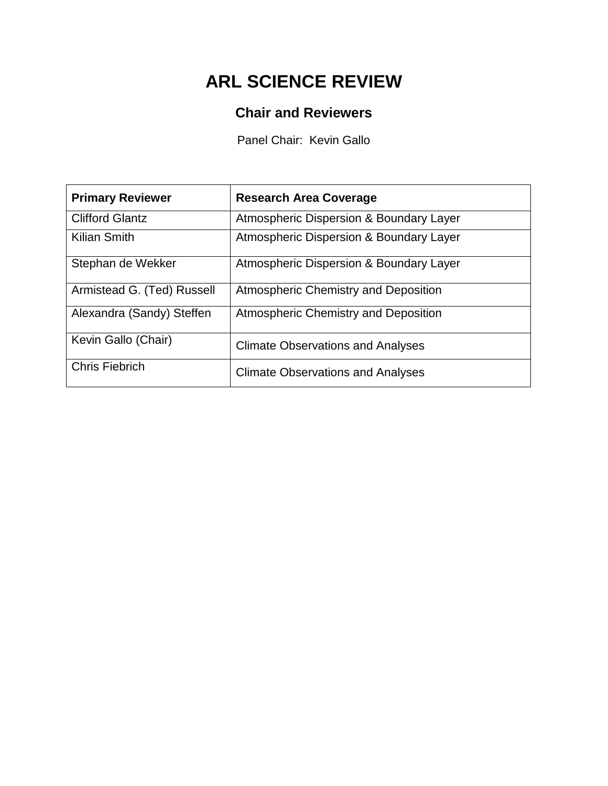# **ARL SCIENCE REVIEW**

## **Chair and Reviewers**

Panel Chair: Kevin Gallo

| <b>Primary Reviewer</b>    | <b>Research Area Coverage</b>            |
|----------------------------|------------------------------------------|
| <b>Clifford Glantz</b>     | Atmospheric Dispersion & Boundary Layer  |
| <b>Kilian Smith</b>        | Atmospheric Dispersion & Boundary Layer  |
| Stephan de Wekker          | Atmospheric Dispersion & Boundary Layer  |
| Armistead G. (Ted) Russell | Atmospheric Chemistry and Deposition     |
| Alexandra (Sandy) Steffen  | Atmospheric Chemistry and Deposition     |
| Kevin Gallo (Chair)        | <b>Climate Observations and Analyses</b> |
| <b>Chris Fiebrich</b>      | <b>Climate Observations and Analyses</b> |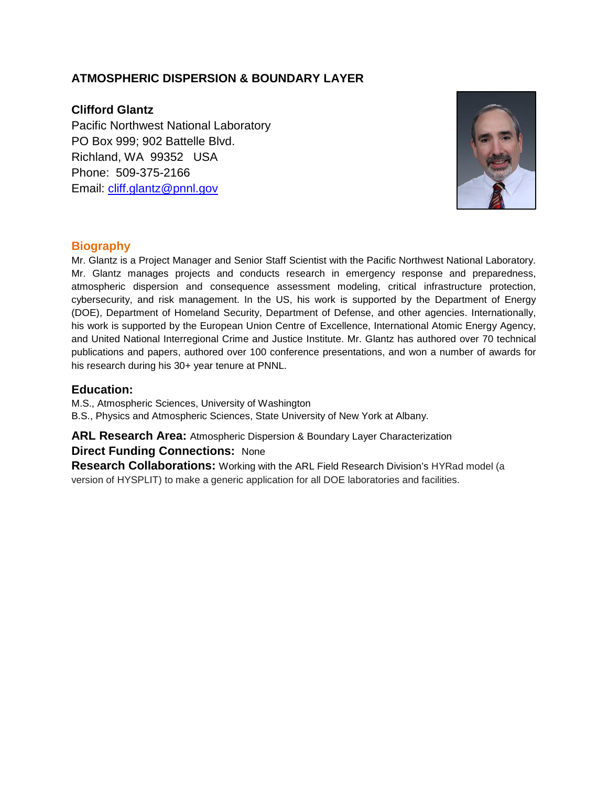## **ATMOSPHERIC DISPERSION & BOUNDARY LAYER**

## **Clifford Glantz**

Pacific Northwest National Laboratory PO Box 999; 902 Battelle Blvd. Richland, WA 99352 USA Phone: 509-375-2166 Email: [cliff.glantz@pnnl.gov](mailto:cliff.glantz@pnnl.gov)



## **Biography**

Mr. Glantz is a Project Manager and Senior Staff Scientist with the Pacific Northwest National Laboratory. Mr. Glantz manages projects and conducts research in emergency response and preparedness, atmospheric dispersion and consequence assessment modeling, critical infrastructure protection, cybersecurity, and risk management. In the US, his work is supported by the Department of Energy (DOE), Department of Homeland Security, Department of Defense, and other agencies. Internationally, his work is supported by the European Union Centre of Excellence, International Atomic Energy Agency, and United National Interregional Crime and Justice Institute. Mr. Glantz has authored over 70 technical publications and papers, authored over 100 conference presentations, and won a number of awards for his research during his 30+ year tenure at PNNL.

#### **Education:**

M.S., Atmospheric Sciences, University of Washington B.S., Physics and Atmospheric Sciences, State University of New York at Albany.

## **ARL Research Area:** Atmospheric Dispersion & Boundary Layer Characterization **Direct Funding Connections:** None

**Research Collaborations:** Working with the ARL Field Research Division's HYRad model (a version of HYSPLIT) to make a generic application for all DOE laboratories and facilities.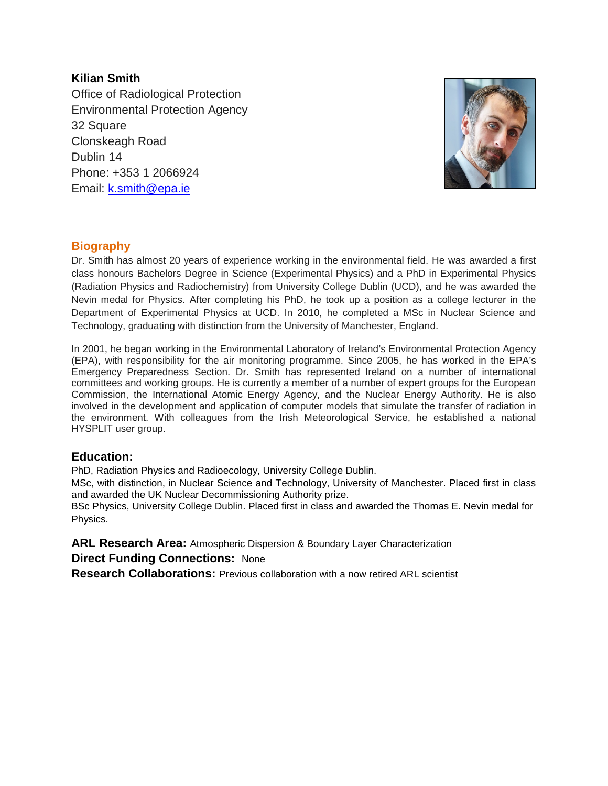## **Kilian Smith**

Office of Radiological Protection Environmental Protection Agency 32 Square Clonskeagh Road Dublin 14 Phone: +353 1 2066924 Email: [k.smith@epa.ie](mailto:k.smith@epa.ie)



## **Biography**

Dr. Smith has almost 20 years of experience working in the environmental field. He was awarded a first class honours Bachelors Degree in Science (Experimental Physics) and a PhD in Experimental Physics (Radiation Physics and Radiochemistry) from University College Dublin (UCD), and he was awarded the Nevin medal for Physics. After completing his PhD, he took up a position as a college lecturer in the Department of Experimental Physics at UCD. In 2010, he completed a MSc in Nuclear Science and Technology, graduating with distinction from the University of Manchester, England.

In 2001, he began working in the Environmental Laboratory of Ireland's Environmental Protection Agency (EPA), with responsibility for the air monitoring programme. Since 2005, he has worked in the EPA's Emergency Preparedness Section. Dr. Smith has represented Ireland on a number of international committees and working groups. He is currently a member of a number of expert groups for the European Commission, the International Atomic Energy Agency, and the Nuclear Energy Authority. He is also involved in the development and application of computer models that simulate the transfer of radiation in the environment. With colleagues from the Irish Meteorological Service, he established a national HYSPLIT user group.

## **Education:**

PhD, Radiation Physics and Radioecology, University College Dublin.

MSc, with distinction, in Nuclear Science and Technology, University of Manchester. Placed first in class and awarded the UK Nuclear Decommissioning Authority prize.

BSc Physics, University College Dublin. Placed first in class and awarded the Thomas E. Nevin medal for Physics.

## **ARL Research Area:** Atmospheric Dispersion & Boundary Layer Characterization

## **Direct Funding Connections:** None

**Research Collaborations:** Previous collaboration with a now retired ARL scientist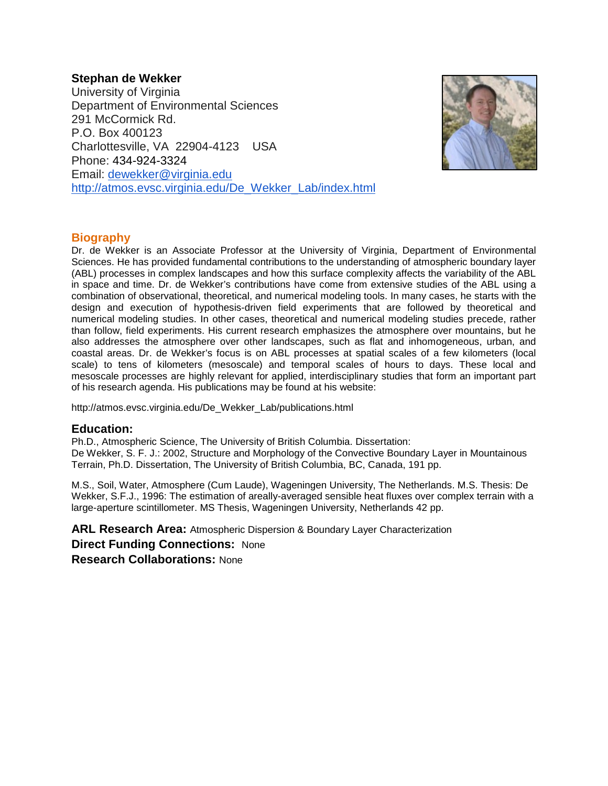## **Stephan de Wekker**

University of Virginia Department of Environmental Sciences 291 McCormick Rd. P.O. Box 400123 Charlottesville, VA 22904-4123 USA Phone: 434-924-3324 Email: [dewekker@virginia.edu](mailto:dewekker@virginia.edu) [http://atmos.evsc.virginia.edu/De\\_Wekker\\_Lab/index.html](http://atmos.evsc.virginia.edu/De_Wekker_Lab/index.html)



## **Biography**

Dr. de Wekker is an Associate Professor at the University of Virginia, Department of Environmental Sciences. He has provided fundamental contributions to the understanding of atmospheric boundary layer (ABL) processes in complex landscapes and how this surface complexity affects the variability of the ABL in space and time. Dr. de Wekker's contributions have come from extensive studies of the ABL using a combination of observational, theoretical, and numerical modeling tools. In many cases, he starts with the design and execution of hypothesis-driven field experiments that are followed by theoretical and numerical modeling studies. In other cases, theoretical and numerical modeling studies precede, rather than follow, field experiments. His current research emphasizes the atmosphere over mountains, but he also addresses the atmosphere over other landscapes, such as flat and inhomogeneous, urban, and coastal areas. Dr. de Wekker's focus is on ABL processes at spatial scales of a few kilometers (local scale) to tens of kilometers (mesoscale) and temporal scales of hours to days. These local and mesoscale processes are highly relevant for applied, interdisciplinary studies that form an important part of his research agenda. His publications may be found at his website:

http://atmos.evsc.virginia.edu/De\_Wekker\_Lab/publications.html

## **Education:**

Ph.D., Atmospheric Science, The University of British Columbia. Dissertation: De Wekker, S. F. J.: 2002, Structure and Morphology of the Convective Boundary Layer in Mountainous Terrain, Ph.D. Dissertation, The University of British Columbia, BC, Canada, 191 pp.

M.S., Soil, Water, Atmosphere (Cum Laude), Wageningen University, The Netherlands. M.S. Thesis: De Wekker, S.F.J., 1996: The estimation of areally-averaged sensible heat fluxes over complex terrain with a large-aperture scintillometer. MS Thesis, Wageningen University, Netherlands 42 pp.

**ARL Research Area:** Atmospheric Dispersion & Boundary Layer Characterization **Direct Funding Connections:** None **Research Collaborations:** None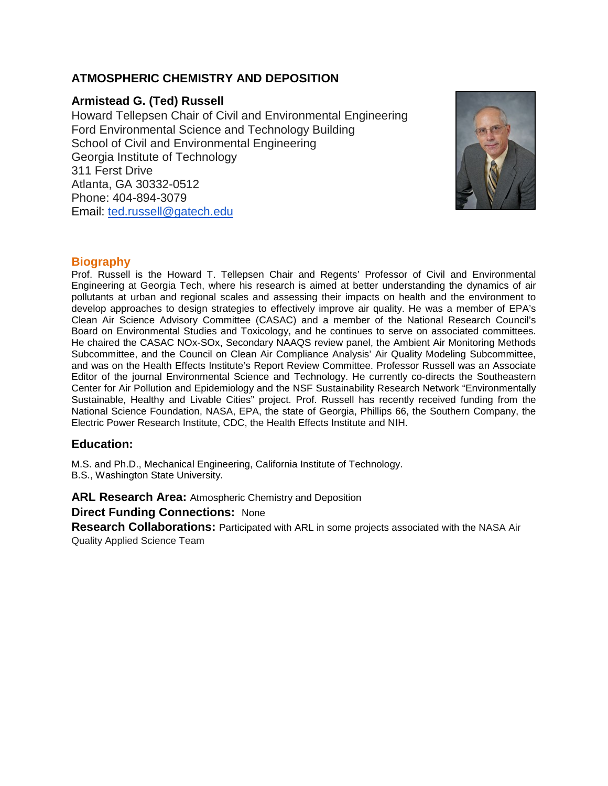## **ATMOSPHERIC CHEMISTRY AND DEPOSITION**

## **Armistead G. (Ted) Russell**

Howard Tellepsen Chair of Civil and Environmental Engineering Ford Environmental Science and Technology Building School of Civil and Environmental Engineering Georgia Institute of Technology 311 Ferst Drive Atlanta, GA 30332-0512 Phone: 404-894-3079 Email: [ted.russell@gatech.edu](mailto:ted.russell@gatech.edu)



## **Biography**

Prof. Russell is the Howard T. Tellepsen Chair and Regents' Professor of Civil and Environmental Engineering at Georgia Tech, where his research is aimed at better understanding the dynamics of air pollutants at urban and regional scales and assessing their impacts on health and the environment to develop approaches to design strategies to effectively improve air quality. He was a member of EPA's Clean Air Science Advisory Committee (CASAC) and a member of the National Research Council's Board on Environmental Studies and Toxicology, and he continues to serve on associated committees. He chaired the CASAC NOx-SOx, Secondary NAAQS review panel, the Ambient Air Monitoring Methods Subcommittee, and the Council on Clean Air Compliance Analysis' Air Quality Modeling Subcommittee, and was on the Health Effects Institute's Report Review Committee. Professor Russell was an Associate Editor of the journal Environmental Science and Technology. He currently co-directs the Southeastern Center for Air Pollution and Epidemiology and the NSF Sustainability Research Network "Environmentally Sustainable, Healthy and Livable Cities" project. Prof. Russell has recently received funding from the National Science Foundation, NASA, EPA, the state of Georgia, Phillips 66, the Southern Company, the Electric Power Research Institute, CDC, the Health Effects Institute and NIH.

## **Education:**

M.S. and Ph.D., Mechanical Engineering, California Institute of Technology. B.S., Washington State University.

**ARL Research Area:** Atmospheric Chemistry and Deposition

**Direct Funding Connections:** None

**Research Collaborations:** Participated with ARL in some projects associated with the NASA Air Quality Applied Science Team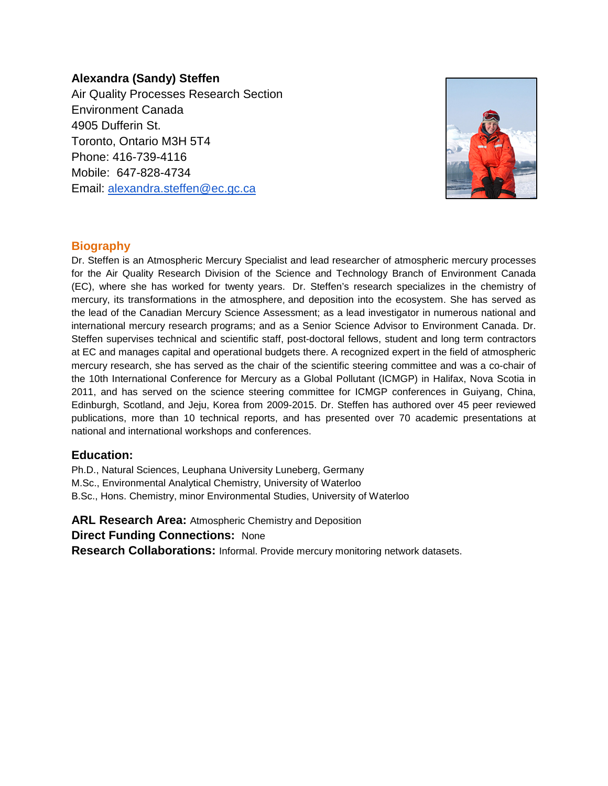## **Alexandra (Sandy) Steffen**

Air Quality Processes Research Section Environment Canada 4905 Dufferin St. Toronto, Ontario M3H 5T4 Phone: 416-739-4116 Mobile: 647-828-4734 Email: [alexandra.steffen@ec.gc.ca](mailto:alexandra.steffen@ec.gc.ca)



## **Biography**

Dr. Steffen is an Atmospheric Mercury Specialist and lead researcher of atmospheric mercury processes for the Air Quality Research Division of the Science and Technology Branch of Environment Canada (EC), where she has worked for twenty years. Dr. Steffen's research specializes in the chemistry of mercury, its transformations in the atmosphere, and deposition into the ecosystem. She has served as the lead of the Canadian Mercury Science Assessment; as a lead investigator in numerous national and international mercury research programs; and as a Senior Science Advisor to Environment Canada. Dr. Steffen supervises technical and scientific staff, post-doctoral fellows, student and long term contractors at EC and manages capital and operational budgets there. A recognized expert in the field of atmospheric mercury research, she has served as the chair of the scientific steering committee and was a co-chair of the 10th International Conference for Mercury as a Global Pollutant (ICMGP) in Halifax, Nova Scotia in 2011, and has served on the science steering committee for ICMGP conferences in Guiyang, China, Edinburgh, Scotland, and Jeju, Korea from 2009-2015. Dr. Steffen has authored over 45 peer reviewed publications, more than 10 technical reports, and has presented over 70 academic presentations at national and international workshops and conferences.

## **Education:**

Ph.D., Natural Sciences, Leuphana University Luneberg, Germany

M.Sc., Environmental Analytical Chemistry, University of Waterloo

B.Sc., Hons. Chemistry, minor Environmental Studies, University of Waterloo

**ARL Research Area:** Atmospheric Chemistry and Deposition

**Direct Funding Connections:** None

**Research Collaborations:** Informal. Provide mercury monitoring network datasets.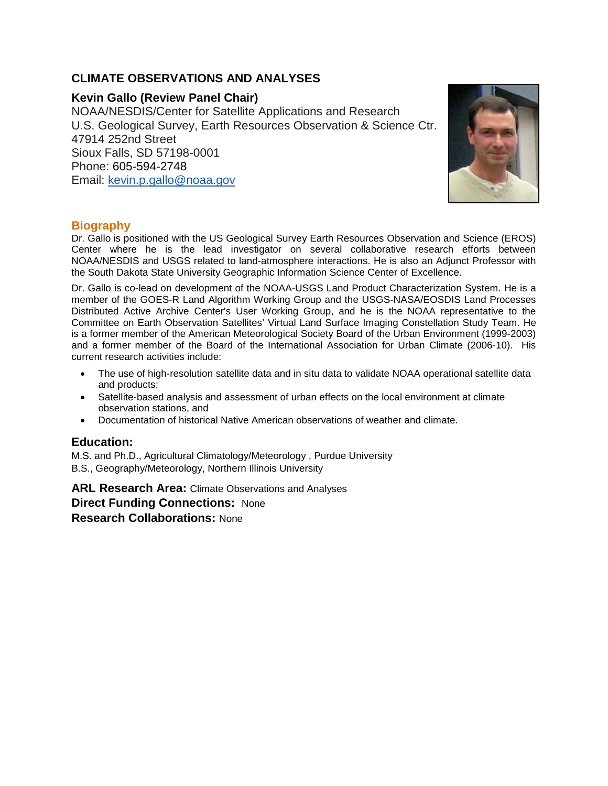## **CLIMATE OBSERVATIONS AND ANALYSES**

## **Kevin Gallo (Review Panel Chair)**

NOAA/NESDIS/Center for Satellite Applications and Research U.S. Geological Survey, Earth Resources Observation & Science Ctr. 47914 252nd Street Sioux Falls, SD 57198-0001 Phone: 605-594-2748 Email: [kevin.p.gallo@noaa.gov](mailto:kevin.p.gallo@noaa.gov)



## **Biography**

Dr. Gallo is positioned with the US Geological Survey Earth Resources Observation and Science (EROS) Center where he is the lead investigator on several collaborative research efforts between NOAA/NESDIS and USGS related to land-atmosphere interactions. He is also an Adjunct Professor with the South Dakota State University Geographic Information Science Center of Excellence.

Dr. Gallo is co-lead on development of the NOAA-USGS Land Product Characterization System. He is a member of the GOES-R Land Algorithm Working Group and the USGS-NASA/EOSDIS Land Processes Distributed Active Archive Center's User Working Group, and he is the NOAA representative to the Committee on Earth Observation Satellites' Virtual Land Surface Imaging Constellation Study Team. He is a former member of the American Meteorological Society Board of the Urban Environment (1999-2003) and a former member of the Board of the International Association for Urban Climate (2006-10). His current research activities include:

- The use of high-resolution satellite data and in situ data to validate NOAA operational satellite data and products;
- Satellite-based analysis and assessment of urban effects on the local environment at climate observation stations, and
- Documentation of historical Native American observations of weather and climate.

## **Education:**

M.S. and Ph.D., Agricultural Climatology/Meteorology , Purdue University B.S., Geography/Meteorology, Northern Illinois University

**ARL Research Area:** Climate Observations and Analyses **Direct Funding Connections:** None **Research Collaborations:** None